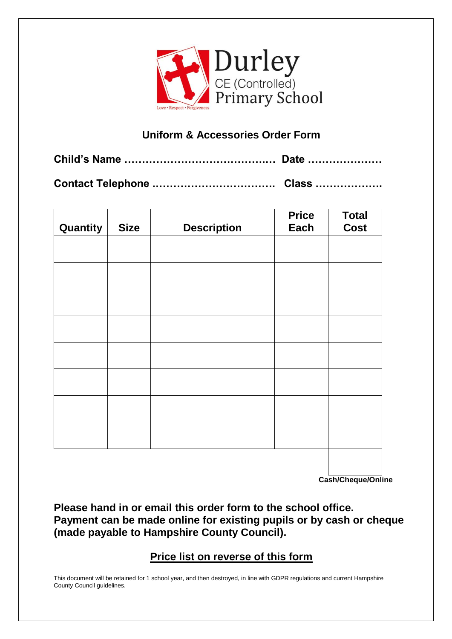

## **Uniform & Accessories Order Form**

**Child's Name ………………………………….… Date …………………**

**Contact Telephone .……………………………. Class ……………….**

| Quantity | <b>Size</b> | <b>Description</b> | <b>Price</b><br>Each | <b>Total</b><br><b>Cost</b> |
|----------|-------------|--------------------|----------------------|-----------------------------|
|          |             |                    |                      |                             |
|          |             |                    |                      |                             |
|          |             |                    |                      |                             |
|          |             |                    |                      |                             |
|          |             |                    |                      |                             |
|          |             |                    |                      |                             |
|          |             |                    |                      |                             |
|          |             |                    |                      |                             |
|          |             |                    |                      |                             |
|          |             |                    |                      |                             |

**Cash/Cheque/Online**

**Please hand in or email this order form to the school office. Payment can be made online for existing pupils or by cash or cheque (made payable to Hampshire County Council).**

## **Price list on reverse of this form**

This document will be retained for 1 school year, and then destroyed, in line with GDPR regulations and current Hampshire County Council guidelines.